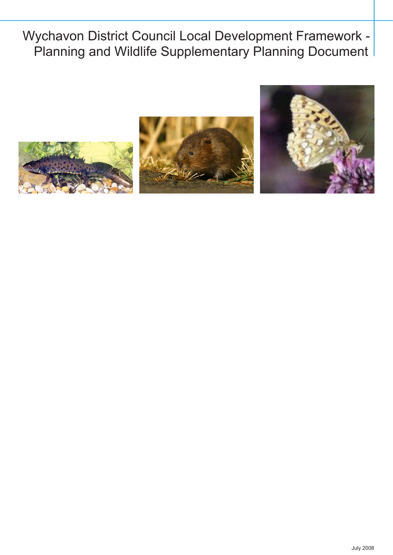Wychavon District Council Local Development Framework - Planning and Wildlife Supplementary Planning Document

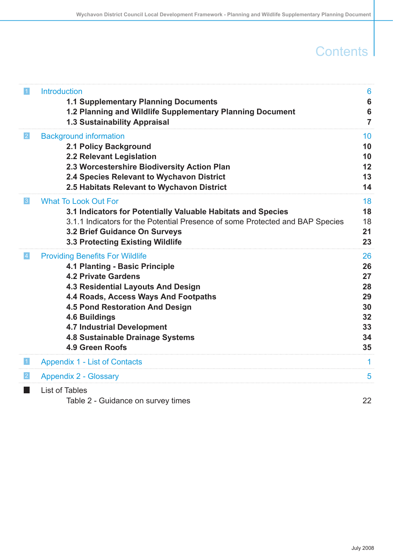## **Contents**

| $\vert$ 1       | <b>Introduction</b>                                                           | $6\phantom{1}6$ |
|-----------------|-------------------------------------------------------------------------------|-----------------|
|                 | 1.1 Supplementary Planning Documents                                          | $6\phantom{1}6$ |
|                 | 1.2 Planning and Wildlife Supplementary Planning Document                     | $6\phantom{1}6$ |
|                 | <b>1.3 Sustainability Appraisal</b>                                           | $\overline{7}$  |
| 2               | <b>Background information</b>                                                 | 10              |
|                 | <b>2.1 Policy Background</b>                                                  | 10              |
|                 | 2.2 Relevant Legislation                                                      | 10              |
|                 | 2.3 Worcestershire Biodiversity Action Plan                                   | 12              |
|                 | 2.4 Species Relevant to Wychavon District                                     | 13              |
|                 | 2.5 Habitats Relevant to Wychavon District                                    | 14              |
| 3               | <b>What To Look Out For</b>                                                   | 18              |
|                 | 3.1 Indicators for Potentially Valuable Habitats and Species                  | 18              |
|                 | 3.1.1 Indicators for the Potential Presence of some Protected and BAP Species | 18              |
|                 | 3.2 Brief Guidance On Surveys                                                 | 21              |
|                 | 3.3 Protecting Existing Wildlife                                              | 23              |
| $\vert 4 \vert$ | <b>Providing Benefits For Wildlife</b>                                        | 26              |
|                 | 4.1 Planting - Basic Principle                                                | 26              |
|                 | <b>4.2 Private Gardens</b>                                                    | 27              |
|                 | 4.3 Residential Layouts And Design                                            | 28              |
|                 | 4.4 Roads, Access Ways And Footpaths                                          | 29              |
|                 | <b>4.5 Pond Restoration And Design</b>                                        | 30              |
|                 | 4.6 Buildings                                                                 | 32              |
|                 | <b>4.7 Industrial Development</b>                                             | 33              |
|                 | <b>4.8 Sustainable Drainage Systems</b>                                       | 34              |
|                 | 4.9 Green Roofs                                                               | 35              |
| $\vert$ 1       | <b>Appendix 1 - List of Contacts</b>                                          | 1               |
| 2               | <b>Appendix 2 - Glossary</b>                                                  | 5               |
| ×.              | List of Tables                                                                |                 |
|                 | Table 2 - Guidance on survey times                                            | 22              |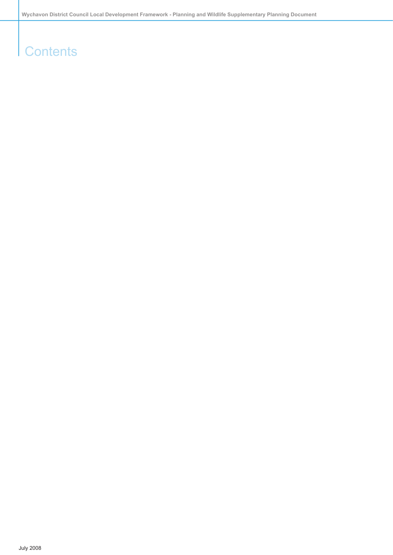## **Contents**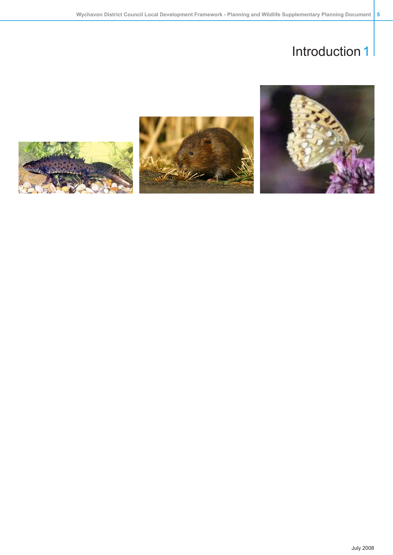



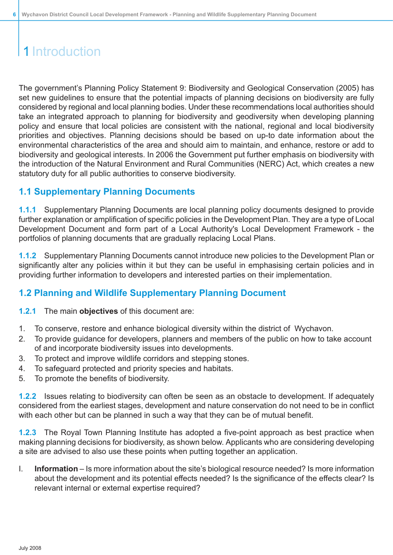<span id="page-5-0"></span>The government's Planning Policy Statement 9: Biodiversity and Geological Conservation (2005) has set new guidelines to ensure that the potential impacts of planning decisions on biodiversity are fully considered by regional and local planning bodies. Under these recommendations local authorities should take an integrated approach to planning for biodiversity and geodiversity when developing planning policy and ensure that local policies are consistent with the national, regional and local biodiversity priorities and objectives. Planning decisions should be based on up-to date information about the environmental characteristics of the area and should aim to maintain, and enhance, restore or add to biodiversity and geological interests. In 2006 the Government put further emphasis on biodiversity with the introduction of the Natural Environment and Rural Communities (NERC) Act, which creates a new statutory duty for all public authorities to conserve biodiversity.

### <span id="page-5-1"></span>**1.1 Supplementary Planning Documents**

**1.1.1** Supplementary Planning Documents are local planning policy documents designed to provide further explanation or amplification of specific policies in the Development Plan. They are a type of Local Development Document and form part of a Local Authority's Local Development Framework - the portfolios of planning documents that are gradually replacing Local Plans.

<span id="page-5-2"></span>**1.1.2** Supplementary Planning Documents cannot introduce new policies to the Development Plan or significantly alter any policies within it but they can be useful in emphasising certain policies and in providing further information to developers and interested parties on their implementation.

### **1.2 Planning and Wildlife Supplementary Planning Document**

**1.2.1** The main **objectives** of this document are:

- 1. To conserve, restore and enhance biological diversity within the district of Wychavon.
- 2. To provide guidance for developers, planners and members of the public on how to take account of and incorporate biodiversity issues into developments.
- 3. To protect and improve wildlife corridors and stepping stones.
- 4. To safeguard protected and priority species and habitats.
- 5. To promote the benefits of biodiversity.

**1.2.2** Issues relating to biodiversity can often be seen as an obstacle to development. If adequately considered from the earliest stages, development and nature conservation do not need to be in conflict with each other but can be planned in such a way that they can be of mutual benefit.

**1.2.3** The Royal Town Planning Institute has adopted a five-point approach as best practice when making planning decisions for biodiversity, as shown below. Applicants who are considering developing a site are advised to also use these points when putting together an application.

I. **Information** – Is more information about the site's biological resource needed? Is more information about the development and its potential effects needed? Is the significance of the effects clear? Is relevant internal or external expertise required?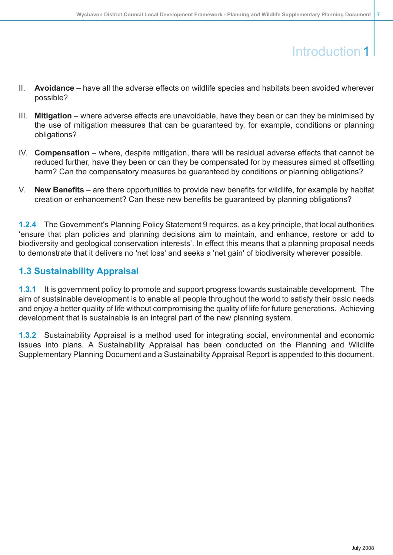- II. **Avoidance** have all the adverse effects on wildlife species and habitats been avoided wherever possible?
- III. **Mitigation** where adverse effects are unavoidable, have they been or can they be minimised by the use of mitigation measures that can be guaranteed by, for example, conditions or planning obligations?
- IV. **Compensation** where, despite mitigation, there will be residual adverse effects that cannot be reduced further, have they been or can they be compensated for by measures aimed at offsetting harm? Can the compensatory measures be guaranteed by conditions or planning obligations?
- V. **New Benefits** are there opportunities to provide new benefits for wildlife, for example by habitat creation or enhancement? Can these new benefits be guaranteed by planning obligations?

<span id="page-6-0"></span>**1.2.4** The Government's Planning Policy Statement 9 requires, as a key principle, that local authorities 'ensure that plan policies and planning decisions aim to maintain, and enhance, restore or add to biodiversity and geological conservation interests'. In effect this means that a planning proposal needs to demonstrate that it delivers no 'net loss' and seeks a 'net gain' of biodiversity wherever possible.

### **1.3 Sustainability Appraisal**

**1.3.1** It is government policy to promote and support progress towards sustainable development. The aim of sustainable development is to enable all people throughout the world to satisfy their basic needs and enjoy a better quality of life without compromising the quality of life for future generations. Achieving development that is sustainable is an integral part of the new planning system.

**1.3.2** Sustainability Appraisal is a method used for integrating social, environmental and economic issues into plans. A Sustainability Appraisal has been conducted on the Planning and Wildlife Supplementary Planning Document and a Sustainability Appraisal Report is appended to this document.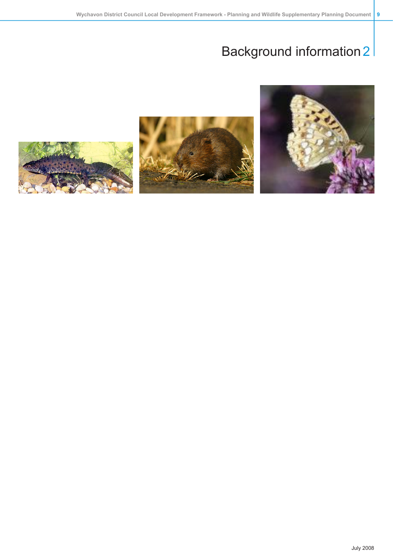



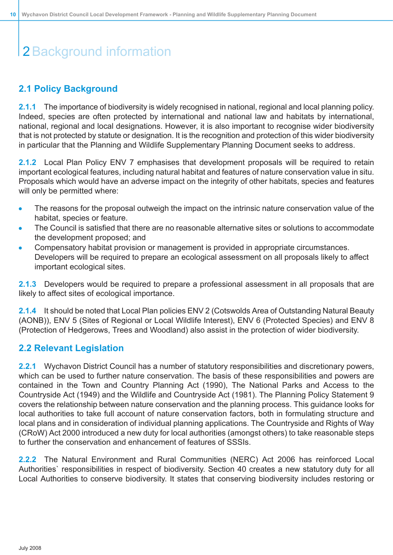### <span id="page-9-0"></span>**2.1 Policy Background**

**2.1.1** The importance of biodiversity is widely recognised in national, regional and local planning policy. Indeed, species are often protected by international and national law and habitats by international, national, regional and local designations. However, it is also important to recognise wider biodiversity that is not protected by statute or designation. It is the recognition and protection of this wider biodiversity in particular that the Planning and Wildlife Supplementary Planning Document seeks to address.

**2.1.2** Local Plan Policy ENV 7 emphasises that development proposals will be required to retain important ecological features, including natural habitat and features of nature conservation value in situ. Proposals which would have an adverse impact on the integrity of other habitats, species and features will only be permitted where:

- The reasons for the proposal outweigh the impact on the intrinsic nature conservation value of the  $\bullet$ habitat, species or feature.
- The Council is satisfied that there are no reasonable alternative sites or solutions to accommodate the development proposed; and
- Compensatory habitat provision or management is provided in appropriate circumstances. Developers will be required to prepare an ecological assessment on all proposals likely to affect important ecological sites.

**2.1.3** Developers would be required to prepare a professional assessment in all proposals that are likely to affect sites of ecological importance.

<span id="page-9-1"></span>**2.1.4** It should be noted that Local Plan policies ENV 2 (Cotswolds Area of Outstanding Natural Beauty (AONB)), ENV 5 (Sites of Regional or Local Wildlife Interest), ENV 6 (Protected Species) and ENV 8 (Protection of Hedgerows, Trees and Woodland) also assist in the protection of wider biodiversity.

### **2.2 Relevant Legislation**

**2.2.1** Wychavon District Council has a number of statutory responsibilities and discretionary powers, which can be used to further nature conservation. The basis of these responsibilities and powers are contained in the Town and Country Planning Act (1990), The National Parks and Access to the Countryside Act (1949) and the Wildlife and Countryside Act (1981). The Planning Policy Statement 9 covers the relationship between nature conservation and the planning process. This guidance looks for local authorities to take full account of nature conservation factors, both in formulating structure and local plans and in consideration of individual planning applications. The Countryside and Rights of Way (CRoW) Act 2000 introduced a new duty for local authorities (amongst others) to take reasonable steps to further the conservation and enhancement of features of SSSIs.

**2.2.2** The Natural Environment and Rural Communities (NERC) Act 2006 has reinforced Local Authorities` responsibilities in respect of biodiversity. Section 40 creates a new statutory duty for all Local Authorities to conserve biodiversity. It states that conserving biodiversity includes restoring or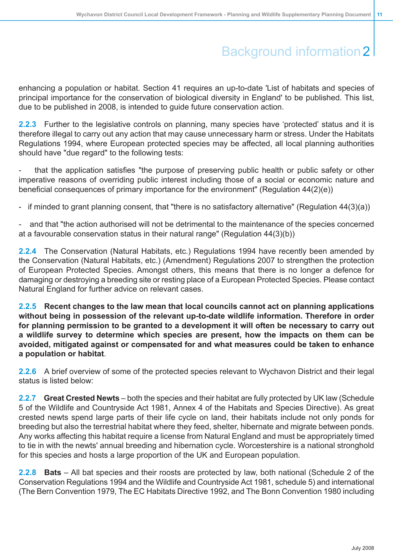enhancing a population or habitat. Section 41 requires an up-to-date 'List of habitats and species of principal importance for the conservation of biological diversity in England' to be published. This list, due to be published in 2008, is intended to guide future conservation action.

**2.2.3** Further to the legislative controls on planning, many species have 'protected' status and it is therefore illegal to carry out any action that may cause unnecessary harm or stress. Under the Habitats Regulations 1994, where European protected species may be affected, all local planning authorities should have "due regard" to the following tests:

that the application satisfies "the purpose of preserving public health or public safety or other imperative reasons of overriding public interest including those of a social or economic nature and beneficial consequences of primary importance for the environment" (Regulation 44(2)(e))

if minded to grant planning consent, that "there is no satisfactory alternative" (Regulation  $44(3)(a)$ )

and that "the action authorised will not be detrimental to the maintenance of the species concerned at a favourable conservation status in their natural range" (Regulation 44(3)(b))

**2.2.4** The Conservation (Natural Habitats, etc.) Regulations 1994 have recently been amended by the Conservation (Natural Habitats, etc.) (Amendment) Regulations 2007 to strengthen the protection of European Protected Species. Amongst others, this means that there is no longer a defence for damaging or destroying a breeding site or resting place of a European Protected Species. Please contact Natural England for further advice on relevant cases.

**2.2.5 Recent changes to the law mean that local councils cannot act on planning applications without being in possession of the relevant up-to-date wildlife information. Therefore in order for planning permission to be granted to a development it will often be necessary to carry out a wildlife survey to determine which species are present, how the impacts on them can be avoided, mitigated against or compensated for and what measures could be taken to enhance a population or habitat**.

**2.2.6** A brief overview of some of the protected species relevant to Wychavon District and their legal status is listed below:

**2.2.7 Great Crested Newts** – both the species and their habitat are fully protected by UK law (Schedule 5 of the Wildlife and Countryside Act 1981, Annex 4 of the Habitats and Species Directive). As great crested newts spend large parts of their life cycle on land, their habitats include not only ponds for breeding but also the terrestrial habitat where they feed, shelter, hibernate and migrate between ponds. Any works affecting this habitat require a license from Natural England and must be appropriately timed to tie in with the newts' annual breeding and hibernation cycle. Worcestershire is a national stronghold for this species and hosts a large proportion of the UK and European population.

**2.2.8 Bats** – All bat species and their roosts are protected by law, both national (Schedule 2 of the Conservation Regulations 1994 and the Wildlife and Countryside Act 1981, schedule 5) and international (The Bern Convention 1979, The EC Habitats Directive 1992, and The Bonn Convention 1980 including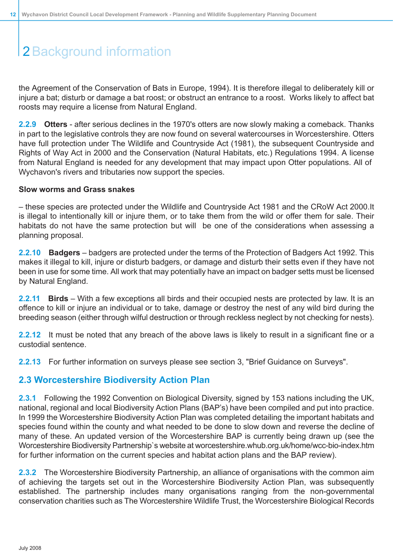the Agreement of the Conservation of Bats in Europe, 1994). It is therefore illegal to deliberately kill or injure a bat; disturb or damage a bat roost; or obstruct an entrance to a roost. Works likely to affect bat roosts may require a license from Natural England.

**2.2.9 Otters** - after serious declines in the 1970's otters are now slowly making a comeback. Thanks in part to the legislative controls they are now found on several watercourses in Worcestershire. Otters have full protection under The Wildlife and Countryside Act (1981), the subsequent Countryside and Rights of Way Act in 2000 and the Conservation (Natural Habitats, etc.) Regulations 1994. A license from Natural England is needed for any development that may impact upon Otter populations. All of Wychavon's rivers and tributaries now support the species.

#### **Slow worms and Grass snakes**

– these species are protected under the Wildlife and Countryside Act 1981 and the CRoW Act 2000.It is illegal to intentionally kill or injure them, or to take them from the wild or offer them for sale. Their habitats do not have the same protection but will be one of the considerations when assessing a planning proposal.

**2.2.10 Badgers** – badgers are protected under the terms of the Protection of Badgers Act 1992. This makes it illegal to kill, injure or disturb badgers, or damage and disturb their setts even if they have not been in use for some time. All work that may potentially have an impact on badger setts must be licensed by Natural England.

**2.2.11 Birds** – With a few exceptions all birds and their occupied nests are protected by law. It is an offence to kill or injure an individual or to take, damage or destroy the nest of any wild bird during the breeding season (either through wilful destruction or through reckless neglect by not checking for nests).

<span id="page-11-0"></span>**2.2.12** It must be noted that any breach of the above laws is likely to result in a significant fine or a custodial sentence.

**2.2.13** For further information on surveys please see section 3, "Brief Guidance on Surveys".

### **2.3 Worcestershire Biodiversity Action Plan**

**2.3.1** Following the 1992 Convention on Biological Diversity, signed by 153 nations including the UK, national, regional and local Biodiversity Action Plans (BAP's) have been compiled and put into practice. In 1999 the Worcestershire Biodiversity Action Plan was completed detailing the important habitats and species found within the county and what needed to be done to slow down and reverse the decline of many of these. An updated version of the Worcestershire BAP is currently being drawn up (see the Worcestershire Biodiversity Partnership`s website at worcestershire.whub.org.uk/home/wcc-bio-index.htm for further information on the current species and habitat action plans and the BAP review).

**2.3.2** The Worcestershire Biodiversity Partnership, an alliance of organisations with the common aim of achieving the targets set out in the Worcestershire Biodiversity Action Plan, was subsequently established. The partnership includes many organisations ranging from the non-governmental conservation charities such as The Worcestershire Wildlife Trust, the Worcestershire Biological Records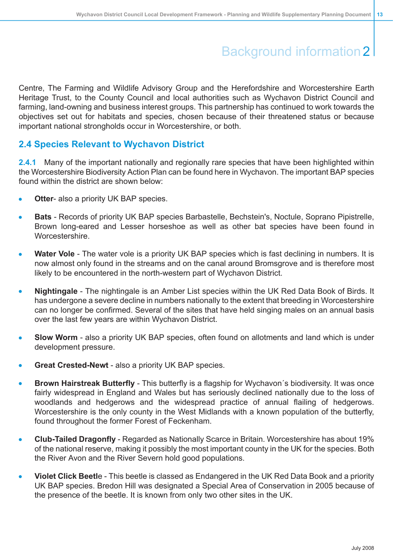Centre, The Farming and Wildlife Advisory Group and the Herefordshire and Worcestershire Earth Heritage Trust, to the County Council and local authorities such as Wychavon District Council and farming, land-owning and business interest groups. This partnership has continued to work towards the objectives set out for habitats and species, chosen because of their threatened status or because important national strongholds occur in Worcestershire, or both.

### <span id="page-12-0"></span>**2.4 Species Relevant to Wychavon District**

**2.4.1** Many of the important nationally and regionally rare species that have been highlighted within the Worcestershire Biodiversity Action Plan can be found here in Wychavon. The important BAP species found within the district are shown below:

- **Otter** also a priority UK BAP species.  $\bullet$
- **Bats** Records of priority UK BAP species Barbastelle, Bechstein's, Noctule, Soprano Pipistrelle, Brown long-eared and Lesser horseshoe as well as other bat species have been found in **Worcestershire**
- **Water Vole** The water vole is a priority UK BAP species which is fast declining in numbers. It is now almost only found in the streams and on the canal around Bromsgrove and is therefore most likely to be encountered in the north-western part of Wychavon District.
- **Nightingale** The nightingale is an Amber List species within the UK Red Data Book of Birds. It has undergone a severe decline in numbers nationally to the extent that breeding in Worcestershire can no longer be confirmed. Several of the sites that have held singing males on an annual basis over the last few years are within Wychavon District.
- **Slow Worm** also a priority UK BAP species, often found on allotments and land which is under development pressure.
- **Great Crested-Newt** also a priority UK BAP species.
- **Brown Hairstreak Butterfly** This butterfly is a flagship for Wychavon´s biodiversity. It was once fairly widespread in England and Wales but has seriously declined nationally due to the loss of woodlands and hedgerows and the widespread practice of annual flailing of hedgerows. Worcestershire is the only county in the West Midlands with a known population of the butterfly, found throughout the former Forest of Feckenham.
- **Club-Tailed Dragonfly** Regarded as Nationally Scarce in Britain. Worcestershire has about 19% of the national reserve, making it possibly the most important county in the UK for the species. Both the River Avon and the River Severn hold good populations.
- **Violet Click Beetl**e This beetle is classed as Endangered in the UK Red Data Book and a priority UK BAP species. Bredon Hill was designated a Special Area of Conservation in 2005 because of the presence of the beetle. It is known from only two other sites in the UK.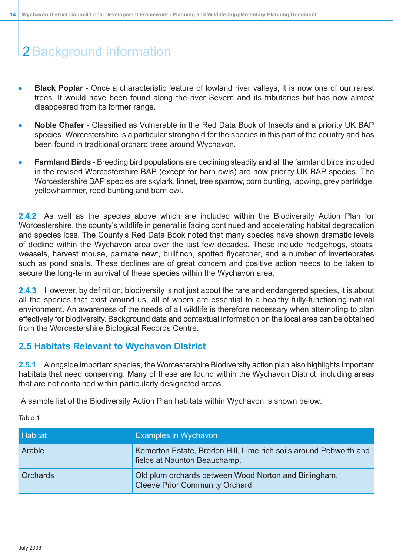- **Black Poplar** Once a characteristic feature of lowland river valleys, it is now one of our rarest  $\bullet$ trees. It would have been found along the river Severn and its tributaries but has now almost disappeared from its former range.
- $\bullet$ **Noble Chafer** - Classified as Vulnerable in the Red Data Book of Insects and a priority UK BAP species. Worcestershire is a particular stronghold for the species in this part of the country and has been found in traditional orchard trees around Wychavon.
- **Farmland Birds** Breeding bird populations are declining steadily and all the farmland birds included in the revised Worcestershire BAP (except for barn owls) are now priority UK BAP species. The Worcestershire BAP species are skylark, linnet, tree sparrow, corn bunting, lapwing, grey partridge, yellowhammer, reed bunting and barn owl.

**2.4.2** As well as the species above which are included within the Biodiversity Action Plan for Worcestershire, the county's wildlife in general is facing continued and accelerating habitat degradation and species loss. The County's Red Data Book noted that many species have shown dramatic levels of decline within the Wychavon area over the last few decades. These include hedgehogs, stoats, weasels, harvest mouse, palmate newt, bullfinch, spotted flycatcher, and a number of invertebrates such as pond snails. These declines are of great concern and positive action needs to be taken to secure the long-term survival of these species within the Wychavon area.

<span id="page-13-0"></span>**2.4.3** However, by definition, biodiversity is not just about the rare and endangered species, it is about all the species that exist around us, all of whom are essential to a healthy fully-functioning natural environment. An awareness of the needs of all wildlife is therefore necessary when attempting to plan effectively for biodiversity. Background data and contextual information on the local area can be obtained from the Worcestershire Biological Records Centre.

### **2.5 Habitats Relevant to Wychavon District**

**2.5.1** Alongside important species, the Worcestershire Biodiversity action plan also highlights important habitats that need conserving. Many of these are found within the Wychavon District, including areas that are not contained within particularly designated areas.

A sample list of the Biodiversity Action Plan habitats within Wychavon is shown below:

Table 1

| <b>Habitat</b>  | <b>Examples in Wychavon</b>                                                                       |
|-----------------|---------------------------------------------------------------------------------------------------|
| Arable          | Kemerton Estate, Bredon Hill, Lime rich soils around Pebworth and<br>fields at Naunton Beauchamp. |
| <b>Orchards</b> | Old plum orchards between Wood Norton and Birlingham.<br><b>Cleeve Prior Community Orchard</b>    |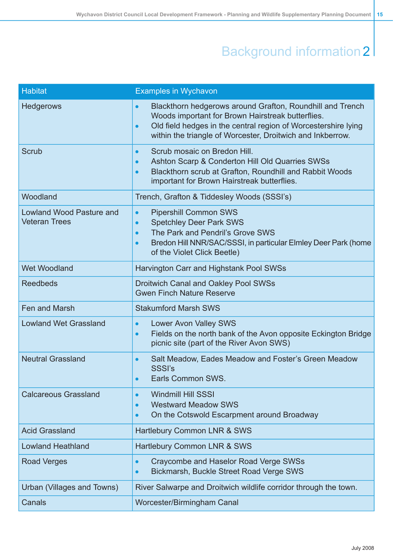| <b>Habitat</b>                                          | <b>Examples in Wychavon</b>                                                                                                                                                                                                                                              |
|---------------------------------------------------------|--------------------------------------------------------------------------------------------------------------------------------------------------------------------------------------------------------------------------------------------------------------------------|
| <b>Hedgerows</b>                                        | Blackthorn hedgerows around Grafton, Roundhill and Trench<br>$\bullet$<br>Woods important for Brown Hairstreak butterflies.<br>Old field hedges in the central region of Worcestershire lying<br>$\bullet$<br>within the triangle of Worcester, Droitwich and Inkberrow. |
| Scrub                                                   | Scrub mosaic on Bredon Hill.<br>$\bullet$<br>Ashton Scarp & Conderton Hill Old Quarries SWSs<br>$\bullet$<br>Blackthorn scrub at Grafton, Roundhill and Rabbit Woods<br>$\bullet$<br>important for Brown Hairstreak butterflies.                                         |
| Woodland                                                | Trench, Grafton & Tiddesley Woods (SSSI's)                                                                                                                                                                                                                               |
| <b>Lowland Wood Pasture and</b><br><b>Veteran Trees</b> | <b>Pipershill Common SWS</b><br>$\bullet$<br><b>Spetchley Deer Park SWS</b><br>$\bullet$<br>The Park and Pendril's Grove SWS<br>$\bullet$<br>Bredon Hill NNR/SAC/SSSI, in particular Elmley Deer Park (home<br>$\bullet$<br>of the Violet Click Beetle)                  |
| <b>Wet Woodland</b>                                     | Harvington Carr and Highstank Pool SWSs                                                                                                                                                                                                                                  |
| <b>Reedbeds</b>                                         | <b>Droitwich Canal and Oakley Pool SWSs</b><br><b>Gwen Finch Nature Reserve</b>                                                                                                                                                                                          |
| Fen and Marsh                                           | <b>Stakumford Marsh SWS</b>                                                                                                                                                                                                                                              |
| <b>Lowland Wet Grassland</b>                            | <b>Lower Avon Valley SWS</b><br>$\bullet$<br>Fields on the north bank of the Avon opposite Eckington Bridge<br>$\bullet$<br>picnic site (part of the River Avon SWS)                                                                                                     |
| <b>Neutral Grassland</b>                                | Salt Meadow, Eades Meadow and Foster's Green Meadow<br>$\bullet$<br><b>SSSI's</b><br>Earls Common SWS<br>$\bullet$                                                                                                                                                       |
| <b>Calcareous Grassland</b>                             | <b>Windmill Hill SSSI</b><br>$\bullet$<br><b>Westward Meadow SWS</b><br>$\bullet$<br>On the Cotswold Escarpment around Broadway<br>$\bullet$                                                                                                                             |
| <b>Acid Grassland</b>                                   | Hartlebury Common LNR & SWS                                                                                                                                                                                                                                              |
| <b>Lowland Heathland</b>                                | Hartlebury Common LNR & SWS                                                                                                                                                                                                                                              |
| <b>Road Verges</b>                                      | Craycombe and Haselor Road Verge SWSs<br>$\bullet$<br>Bickmarsh, Buckle Street Road Verge SWS<br>$\bullet$                                                                                                                                                               |
| Urban (Villages and Towns)                              | River Salwarpe and Droitwich wildlife corridor through the town.                                                                                                                                                                                                         |
| Canals                                                  | Worcester/Birmingham Canal                                                                                                                                                                                                                                               |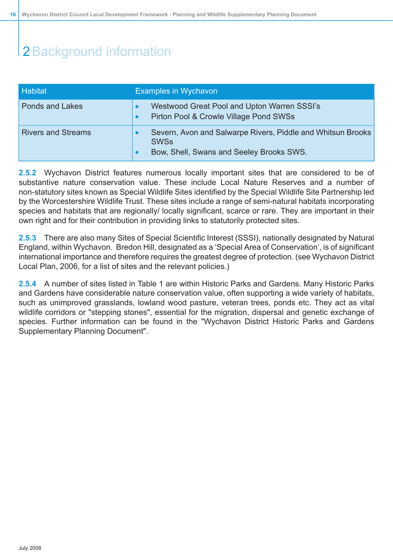| Habitat                   | <b>Examples in Wychavon</b>                                                                                                                      |  |  |  |  |  |  |
|---------------------------|--------------------------------------------------------------------------------------------------------------------------------------------------|--|--|--|--|--|--|
| <b>Ponds and Lakes</b>    | Westwood Great Pool and Upton Warren SSSI's<br>$\bullet$<br>Pirton Pool & Crowle Village Pond SWSs<br>$\bullet$                                  |  |  |  |  |  |  |
| <b>Rivers and Streams</b> | Severn, Avon and Salwarpe Rivers, Piddle and Whitsun Brooks<br>$\bullet$<br><b>SWSs</b><br>Bow, Shell, Swans and Seeley Brooks SWS.<br>$\bullet$ |  |  |  |  |  |  |

**2.5.2** Wychavon District features numerous locally important sites that are considered to be of substantive nature conservation value. These include Local Nature Reserves and a number of non-statutory sites known as Special Wildlife Sites identified by the Special Wildlife Site Partnership led by the Worcestershire Wildlife Trust. These sites include a range of semi-natural habitats incorporating species and habitats that are regionally/ locally significant, scarce or rare. They are important in their own right and for their contribution in providing links to statutorily protected sites.

**2.5.3** There are also many Sites of Special Scientific Interest (SSSI), nationally designated by Natural England, within Wychavon. Bredon Hill, designated as a 'Special Area of Conservation', is of significant international importance and therefore requires the greatest degree of protection. (see Wychavon District Local Plan, 2006, for a list of sites and the relevant policies.)

**2.5.4** A number of sites listed in Table 1 are within Historic Parks and Gardens. Many Historic Parks and Gardens have considerable nature conservation value, often supporting a wide variety of habitats, such as unimproved grasslands, lowland wood pasture, veteran trees, ponds etc. They act as vital wildlife corridors or "stepping stones", essential for the migration, dispersal and genetic exchange of species. Further information can be found in the "Wychavon District Historic Parks and Gardens Supplementary Planning Document".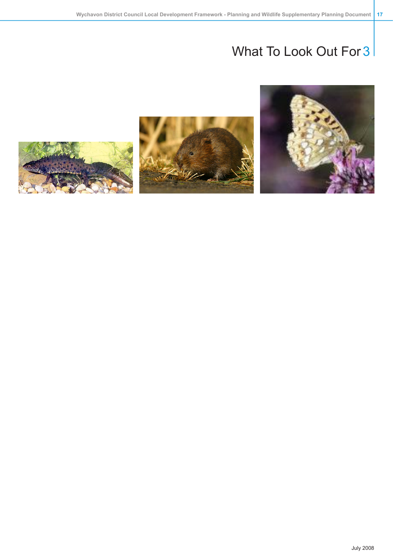



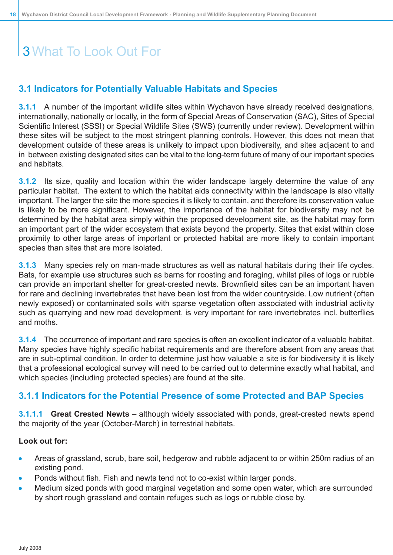### <span id="page-17-0"></span>**3.1 Indicators for Potentially Valuable Habitats and Species**

**3.1.1** A number of the important wildlife sites within Wychavon have already received designations, internationally, nationally or locally, in the form of Special Areas of Conservation (SAC), Sites of Special Scientific Interest (SSSI) or Special Wildlife Sites (SWS) (currently under review). Development within these sites will be subject to the most stringent planning controls. However, this does not mean that development outside of these areas is unlikely to impact upon biodiversity, and sites adjacent to and in between existing designated sites can be vital to the long-term future of many of our important species and habitats.

**3.1.2** Its size, quality and location within the wider landscape largely determine the value of any particular habitat. The extent to which the habitat aids connectivity within the landscape is also vitally important. The larger the site the more species it is likely to contain, and therefore its conservation value is likely to be more significant. However, the importance of the habitat for biodiversity may not be determined by the habitat area simply within the proposed development site, as the habitat may form an important part of the wider ecosystem that exists beyond the property. Sites that exist within close proximity to other large areas of important or protected habitat are more likely to contain important species than sites that are more isolated.

**3.1.3** Many species rely on man-made structures as well as natural habitats during their life cycles. Bats, for example use structures such as barns for roosting and foraging, whilst piles of logs or rubble can provide an important shelter for great-crested newts. Brownfield sites can be an important haven for rare and declining invertebrates that have been lost from the wider countryside. Low nutrient (often newly exposed) or contaminated soils with sparse vegetation often associated with industrial activity such as quarrying and new road development, is very important for rare invertebrates incl. butterflies and moths.

<span id="page-17-1"></span>**3.1.4** The occurrence of important and rare species is often an excellent indicator of a valuable habitat. Many species have highly specific habitat requirements and are therefore absent from any areas that are in sub-optimal condition. In order to determine just how valuable a site is for biodiversity it is likely that a professional ecological survey will need to be carried out to determine exactly what habitat, and which species (including protected species) are found at the site.

### **3.1.1 Indicators for the Potential Presence of some Protected and BAP Species**

**3.1.1.1 Great Crested Newts** – although widely associated with ponds, great-crested newts spend the majority of the year (October-March) in terrestrial habitats.

#### **Look out for:**

- Areas of grassland, scrub, bare soil, hedgerow and rubble adjacent to or within 250m radius of an existing pond.
- Ponds without fish. Fish and newts tend not to co-exist within larger ponds.
- Medium sized ponds with good marginal vegetation and some open water, which are surrounded by short rough grassland and contain refuges such as logs or rubble close by.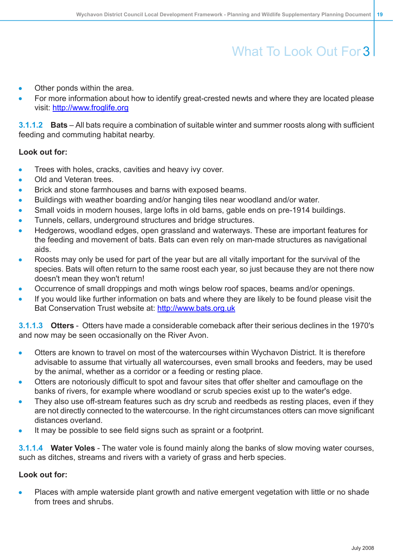- Other ponds within the area.
- For more information about how to identify great-crested newts and where they are located please visit: <http://www.froglife.org>

**3.1.1.2 Bats** – All bats require a combination of suitable winter and summer roosts along with sufficient feeding and commuting habitat nearby.

### **Look out for:**

- Trees with holes, cracks, cavities and heavy ivy cover.
- Old and Veteran trees.
- Brick and stone farmhouses and barns with exposed beams.
- Buildings with weather boarding and/or hanging tiles near woodland and/or water.
- Small voids in modern houses, large lofts in old barns, gable ends on pre-1914 buildings.
- Tunnels, cellars, underground structures and bridge structures.
- Hedgerows, woodland edges, open grassland and waterways. These are important features for the feeding and movement of bats. Bats can even rely on man-made structures as navigational aids.
- Roosts may only be used for part of the year but are all vitally important for the survival of the species. Bats will often return to the same roost each year, so just because they are not there now doesn't mean they won't return!
- Occurrence of small droppings and moth wings below roof spaces, beams and/or openings.
- If you would like further information on bats and where they are likely to be found please visit the Bat Conservation Trust website at: <http://www.bats.org.uk>

**3.1.1.3 Otters** - Otters have made a considerable comeback after their serious declines in the 1970's and now may be seen occasionally on the River Avon.

- Otters are known to travel on most of the watercourses within Wychavon District. It is therefore advisable to assume that virtually all watercourses, even small brooks and feeders, may be used by the animal, whether as a corridor or a feeding or resting place.
- Otters are notoriously difficult to spot and favour sites that offer shelter and camouflage on the banks of rivers, for example where woodland or scrub species exist up to the water's edge.
- They also use off-stream features such as dry scrub and reedbeds as resting places, even if they are not directly connected to the watercourse. In the right circumstances otters can move significant distances overland.
- It may be possible to see field signs such as spraint or a footprint.

**3.1.1.4 Water Voles** - The water vole is found mainly along the banks of slow moving water courses, such as ditches, streams and rivers with a variety of grass and herb species.

#### **Look out for:**

Places with ample waterside plant growth and native emergent vegetation with little or no shade from trees and shrubs.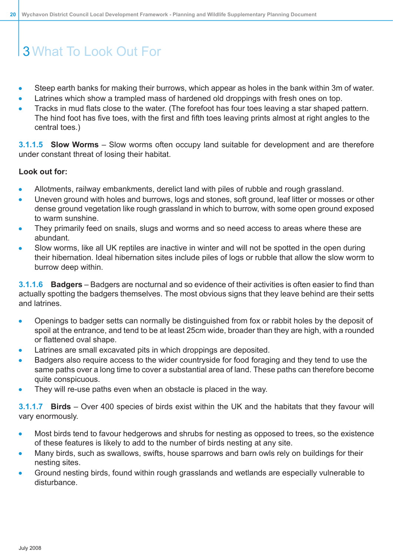- Steep earth banks for making their burrows, which appear as holes in the bank within 3m of water.
- Latrines which show a trampled mass of hardened old droppings with fresh ones on top.
- Tracks in mud flats close to the water. (The forefoot has four toes leaving a star shaped pattern. The hind foot has five toes, with the first and fifth toes leaving prints almost at right angles to the central toes.)

**3.1.1.5 Slow Worms** – Slow worms often occupy land suitable for development and are therefore under constant threat of losing their habitat.

### **Look out for:**

- Allotments, railway embankments, derelict land with piles of rubble and rough grassland.
- Uneven ground with holes and burrows, logs and stones, soft ground, leaf litter or mosses or other Ä dense ground vegetation like rough grassland in which to burrow, with some open ground exposed to warm sunshine.
- They primarily feed on snails, slugs and worms and so need access to areas where these are abundant.
- Slow worms, like all UK reptiles are inactive in winter and will not be spotted in the open during their hibernation. Ideal hibernation sites include piles of logs or rubble that allow the slow worm to burrow deep within.

**3.1.1.6 Badgers** – Badgers are nocturnal and so evidence of their activities is often easier to find than actually spotting the badgers themselves. The most obvious signs that they leave behind are their setts and latrines.

- Openings to badger setts can normally be distinguished from fox or rabbit holes by the deposit of spoil at the entrance, and tend to be at least 25cm wide, broader than they are high, with a rounded or flattened oval shape.
- Latrines are small excavated pits in which droppings are deposited.
- Badgers also require access to the wider countryside for food foraging and they tend to use the same paths over a long time to cover a substantial area of land. These paths can therefore become quite conspicuous.
- They will re-use paths even when an obstacle is placed in the way.

**3.1.1.7 Birds** – Over 400 species of birds exist within the UK and the habitats that they favour will vary enormously.

- Most birds tend to favour hedgerows and shrubs for nesting as opposed to trees, so the existence of these features is likely to add to the number of birds nesting at any site.
- Many birds, such as swallows, swifts, house sparrows and barn owls rely on buildings for their nesting sites.
- Ground nesting birds, found within rough grasslands and wetlands are especially vulnerable to disturbance.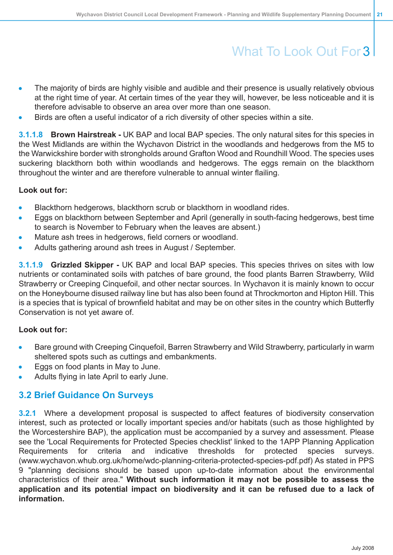- The majority of birds are highly visible and audible and their presence is usually relatively obvious at the right time of year. At certain times of the year they will, however, be less noticeable and it is therefore advisable to observe an area over more than one season.
- Birds are often a useful indicator of a rich diversity of other species within a site.

**3.1.1.8 Brown Hairstreak -** UK BAP and local BAP species. The only natural sites for this species in the West Midlands are within the Wychavon District in the woodlands and hedgerows from the M5 to the Warwickshire border with strongholds around Grafton Wood and Roundhill Wood. The species uses suckering blackthorn both within woodlands and hedgerows. The eggs remain on the blackthorn throughout the winter and are therefore vulnerable to annual winter flailing.

### **Look out for:**

- Blackthorn hedgerows, blackthorn scrub or blackthorn in woodland rides.
- Eggs on blackthorn between September and April (generally in south-facing hedgerows, best time  $\bullet$ to search is November to February when the leaves are absent.)
- Mature ash trees in hedgerows, field corners or woodland.
- Adults gathering around ash trees in August / September.

**3.1.1.9 Grizzled Skipper -** UK BAP and local BAP species. This species thrives on sites with low nutrients or contaminated soils with patches of bare ground, the food plants Barren Strawberry, Wild Strawberry or Creeping Cinquefoil, and other nectar sources. In Wychavon it is mainly known to occur on the Honeybourne disused railway line but has also been found at Throckmorton and Hipton Hill. This is a species that is typical of brownfield habitat and may be on other sites in the country which Butterfly Conservation is not yet aware of.

#### **Look out for:**

- <span id="page-20-0"></span>Bare ground with Creeping Cinquefoil, Barren Strawberry and Wild Strawberry, particularly in warm  $\bullet$ sheltered spots such as cuttings and embankments.
- Eggs on food plants in May to June.
- Adults flying in late April to early June.

### **3.2 Brief Guidance On Surveys**

**3.2.1** Where a development proposal is suspected to affect features of biodiversity conservation interest, such as protected or locally important species and/or habitats (such as those highlighted by the Worcestershire BAP), the application must be accompanied by a survey and assessment. Please see the 'Local Requirements for Protected Species checklist' linked to the 1APP Planning Application Requirements for criteria and indicative thresholds for protected species surveys. (www.wychavon.whub.org.uk/home/wdc-planning-criteria-protected-species-pdf.pdf) As stated in PPS 9 "planning decisions should be based upon up-to-date information about the environmental characteristics of their area." **Without such information it may not be possible to assess the application and its potential impact on biodiversity and it can be refused due to a lack of information.**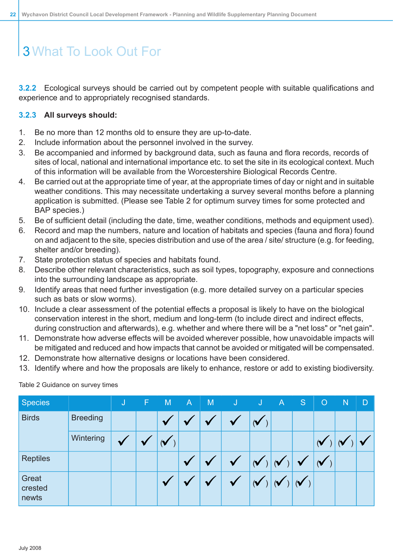**3.2.2** Ecological surveys should be carried out by competent people with suitable qualifications and experience and to appropriately recognised standards.

### **3.2.3 All surveys should:**

- 1. Be no more than 12 months old to ensure they are up-to-date.
- 2. Include information about the personnel involved in the survey.
- 3. Be accompanied and informed by background data, such as fauna and flora records, records of sites of local, national and international importance etc. to set the site in its ecological context. Much of this information will be available from the Worcestershire Biological Records Centre.
- 4. Be carried out at the appropriate time of year, at the appropriate times of day or night and in suitable weather conditions. This may necessitate undertaking a survey several months before a planning application is submitted. (Please see Table 2 for optimum survey times for some protected and BAP species.)
- 5. Be of sufficient detail (including the date, time, weather conditions, methods and equipment used).
- 6. Record and map the numbers, nature and location of habitats and species (fauna and flora) found on and adjacent to the site, species distribution and use of the area / site/ structure (e.g. for feeding, shelter and/or breeding).
- 7. State protection status of species and habitats found.
- 8. Describe other relevant characteristics, such as soil types, topography, exposure and connections into the surrounding landscape as appropriate.
- 9. Identify areas that need further investigation (e.g. more detailed survey on a particular species such as bats or slow worms).
- 10. Include a clear assessment of the potential effects a proposal is likely to have on the biological conservation interest in the short, medium and long-term (to include direct and indirect effects, during construction and afterwards), e.g. whether and where there will be a "net loss" or "net gain".
- 11. Demonstrate how adverse effects will be avoided wherever possible, how unavoidable impacts will be mitigated and reduced and how impacts that cannot be avoided or mitigated will be compensated.
- 12. Demonstrate how alternative designs or locations have been considered.
- <span id="page-21-0"></span>13. Identify where and how the proposals are likely to enhance, restore or add to existing biodiversity.

| <b>Species</b>            |                 | IJ | F | M       | $\mathsf{A}$ | M | J | <b>AV</b>  | $\overline{A}$ | S. | $\circ$ | N  | D |
|---------------------------|-----------------|----|---|---------|--------------|---|---|------------|----------------|----|---------|----|---|
| <b>Birds</b>              | <b>Breeding</b> |    |   |         |              |   |   | (V         |                |    |         |    |   |
|                           | Wintering       | V  | w | $(\vee$ |              |   |   |            |                |    | (V      | (V |   |
| <b>Reptiles</b>           |                 |    |   |         |              |   |   | $(\forall$ |                | V  | $(\vee$ |    |   |
| Great<br>crested<br>newts |                 |    |   |         |              |   |   |            |                |    |         |    |   |

Table 2 Guidance on survey times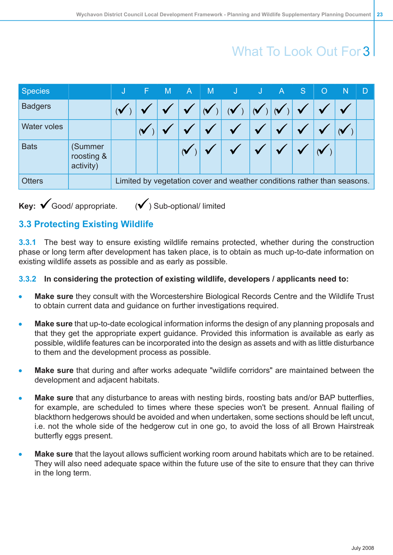| <b>Species</b>     |                                    |                                                                         | F | M | $\overline{A}$ | M | and the disc of the second term in the second term in the second term in the second term in the second term in |  | $\overline{A}$ | $\bullet$ | 40 | N | D |
|--------------------|------------------------------------|-------------------------------------------------------------------------|---|---|----------------|---|----------------------------------------------------------------------------------------------------------------|--|----------------|-----------|----|---|---|
| <b>Badgers</b>     |                                    |                                                                         |   |   |                |   |                                                                                                                |  |                |           |    |   |   |
| <b>Water voles</b> |                                    |                                                                         |   |   |                |   |                                                                                                                |  |                |           |    |   |   |
| <b>Bats</b>        | (Summer<br>roosting &<br>activity) |                                                                         |   |   |                |   |                                                                                                                |  |                |           |    |   |   |
| <b>Otters</b>      |                                    | Limited by vegetation cover and weather conditions rather than seasons. |   |   |                |   |                                                                                                                |  |                |           |    |   |   |
|                    |                                    |                                                                         |   |   |                |   |                                                                                                                |  |                |           |    |   |   |

<span id="page-22-0"></span>**Key:**  $\checkmark$  Good/ appropriate.  $(\checkmark)$  Sub-optional/ limited

## **3.3 Protecting Existing Wildlife**

**3.3.1** The best way to ensure existing wildlife remains protected, whether during the construction phase or long term after development has taken place, is to obtain as much up-to-date information on existing wildlife assets as possible and as early as possible.

### **3.3.2 In considering the protection of existing wildlife, developers / applicants need to:**

- **Make sure** they consult with the Worcestershire Biological Records Centre and the Wildlife Trust to obtain current data and guidance on further investigations required.
- **Make sure** that up-to-date ecological information informs the design of any planning proposals and that they get the appropriate expert guidance. Provided this information is available as early as possible, wildlife features can be incorporated into the design as assets and with as little disturbance to them and the development process as possible.
- **Make sure** that during and after works adequate "wildlife corridors" are maintained between the development and adjacent habitats.
- **Make sure** that any disturbance to areas with nesting birds, roosting bats and/or BAP butterflies, for example, are scheduled to times where these species won't be present. Annual flailing of blackthorn hedgerows should be avoided and when undertaken, some sections should be left uncut, i.e. not the whole side of the hedgerow cut in one go, to avoid the loss of all Brown Hairstreak butterfly eggs present.
- **Make sure** that the layout allows sufficient working room around habitats which are to be retained. They will also need adequate space within the future use of the site to ensure that they can thrive in the long term.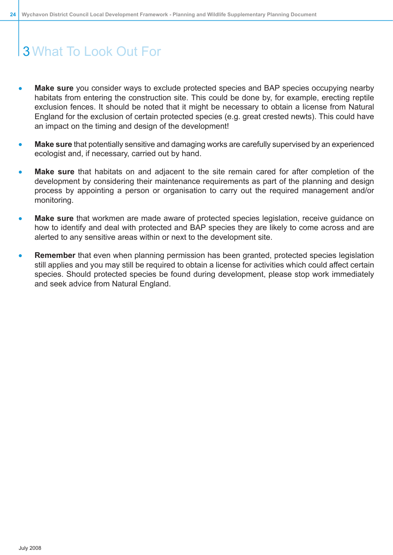- **Make sure** you consider ways to exclude protected species and BAP species occupying nearby habitats from entering the construction site. This could be done by, for example, erecting reptile exclusion fences. It should be noted that it might be necessary to obtain a license from Natural England for the exclusion of certain protected species (e.g. great crested newts). This could have an impact on the timing and design of the development!
- **Make sure** that potentially sensitive and damaging works are carefully supervised by an experienced ecologist and, if necessary, carried out by hand.
- **Make sure** that habitats on and adjacent to the site remain cared for after completion of the development by considering their maintenance requirements as part of the planning and design process by appointing a person or organisation to carry out the required management and/or monitoring.
- **Make sure** that workmen are made aware of protected species legislation, receive guidance on how to identify and deal with protected and BAP species they are likely to come across and are alerted to any sensitive areas within or next to the development site.
- **Remember** that even when planning permission has been granted, protected species legislation still applies and you may still be required to obtain a license for activities which could affect certain species. Should protected species be found during development, please stop work immediately and seek advice from Natural England.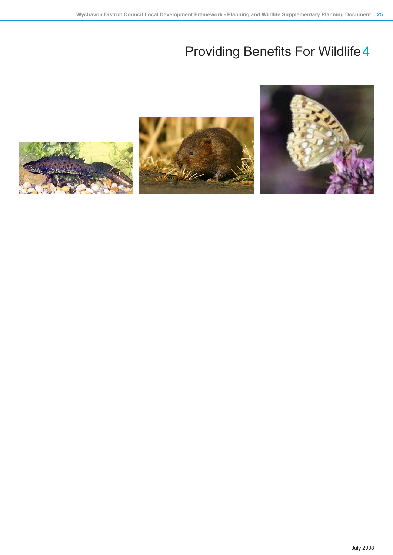



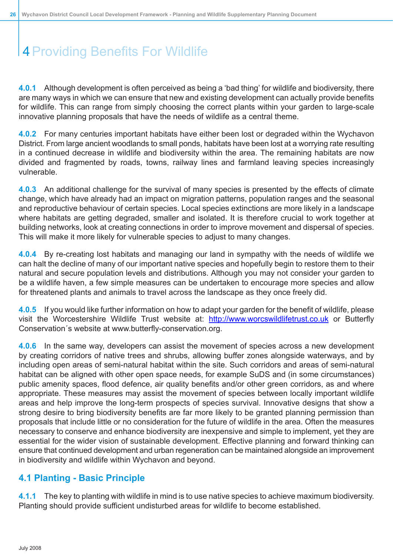<span id="page-25-0"></span>**4.0.1** Although development is often perceived as being a 'bad thing' for wildlife and biodiversity, there are many ways in which we can ensure that new and existing development can actually provide benefits for wildlife. This can range from simply choosing the correct plants within your garden to large-scale innovative planning proposals that have the needs of wildlife as a central theme.

**4.0.2** For many centuries important habitats have either been lost or degraded within the Wychavon District. From large ancient woodlands to small ponds, habitats have been lost at a worrying rate resulting in a continued decrease in wildlife and biodiversity within the area. The remaining habitats are now divided and fragmented by roads, towns, railway lines and farmland leaving species increasingly vulnerable.

**4.0.3** An additional challenge for the survival of many species is presented by the effects of climate change, which have already had an impact on migration patterns, population ranges and the seasonal and reproductive behaviour of certain species. Local species extinctions are more likely in a landscape where habitats are getting degraded, smaller and isolated. It is therefore crucial to work together at building networks, look at creating connections in order to improve movement and dispersal of species. This will make it more likely for vulnerable species to adjust to many changes.

**4.0.4** By re-creating lost habitats and managing our land in sympathy with the needs of wildlife we can halt the decline of many of our important native species and hopefully begin to restore them to their natural and secure population levels and distributions. Although you may not consider your garden to be a wildlife haven, a few simple measures can be undertaken to encourage more species and allow for threatened plants and animals to travel across the landscape as they once freely did.

**4.0.5** If you would like further information on how to adapt your garden for the benefit of wildlife, please visit the Worcestershire Wildlife Trust website at: <http://www.worcswildlifetrust.co.uk> or Butterfly Conservation´s website at www.butterfly-conservation.org.

**4.0.6** In the same way, developers can assist the movement of species across a new development by creating corridors of native trees and shrubs, allowing buffer zones alongside waterways, and by including open areas of semi-natural habitat within the site. Such corridors and areas of semi-natural habitat can be aligned with other open space needs, for example SuDS and (in some circumstances) public amenity spaces, flood defence, air quality benefits and/or other green corridors, as and where appropriate. These measures may assist the movement of species between locally important wildlife areas and help improve the long-term prospects of species survival. Innovative designs that show a strong desire to bring biodiversity benefits are far more likely to be granted planning permission than proposals that include little or no consideration for the future of wildlife in the area. Often the measures necessary to conserve and enhance biodiversity are inexpensive and simple to implement, yet they are essential for the wider vision of sustainable development. Effective planning and forward thinking can ensure that continued development and urban regeneration can be maintained alongside an improvement in biodiversity and wildlife within Wychavon and beyond.

### <span id="page-25-1"></span>**4.1 Planting - Basic Principle**

**4.1.1** The key to planting with wildlife in mind is to use native species to achieve maximum biodiversity. Planting should provide sufficient undisturbed areas for wildlife to become established.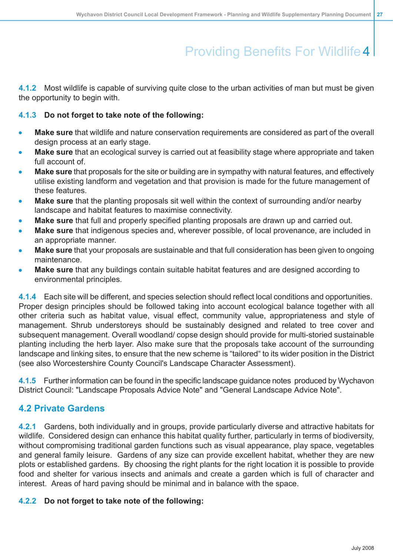**4.1.2** Most wildlife is capable of surviving quite close to the urban activities of man but must be given the opportunity to begin with.

### **4.1.3 Do not forget to take note of the following:**

- **Make sure** that wildlife and nature conservation requirements are considered as part of the overall design process at an early stage.
- **Make sure** that an ecological survey is carried out at feasibility stage where appropriate and taken full account of.
- **Make sure** that proposals for the site or building are in sympathy with natural features, and effectively utilise existing landform and vegetation and that provision is made for the future management of these features.
- **Make sure** that the planting proposals sit well within the context of surrounding and/or nearby landscape and habitat features to maximise connectivity.
- **Make sure** that full and properly specified planting proposals are drawn up and carried out.
- **Make sure** that indigenous species and, wherever possible, of local provenance, are included in an appropriate manner.
- **Make sure** that your proposals are sustainable and that full consideration has been given to ongoing maintenance.
- **Make sure** that any buildings contain suitable habitat features and are designed according to environmental principles.

**4.1.4** Each site will be different, and species selection should reflect local conditions and opportunities. Proper design principles should be followed taking into account ecological balance together with all other criteria such as habitat value, visual effect, community value, appropriateness and style of management. Shrub understoreys should be sustainably designed and related to tree cover and subsequent management. Overall woodland/ copse design should provide for multi-storied sustainable planting including the herb layer. Also make sure that the proposals take account of the surrounding landscape and linking sites, to ensure that the new scheme is "tailored" to its wider position in the District (see also Worcestershire County Council's Landscape Character Assessment).

<span id="page-26-0"></span>**4.1.5** Further information can be found in the specific landscape guidance notes produced by Wychavon District Council: "Landscape Proposals Advice Note" and "General Landscape Advice Note".

## **4.2 Private Gardens**

**4.2.1** Gardens, both individually and in groups, provide particularly diverse and attractive habitats for wildlife. Considered design can enhance this habitat quality further, particularly in terms of biodiversity, without compromising traditional garden functions such as visual appearance, play space, vegetables and general family leisure. Gardens of any size can provide excellent habitat, whether they are new plots or established gardens. By choosing the right plants for the right location it is possible to provide food and shelter for various insects and animals and create a garden which is full of character and interest. Areas of hard paving should be minimal and in balance with the space.

### **4.2.2 Do not forget to take note of the following:**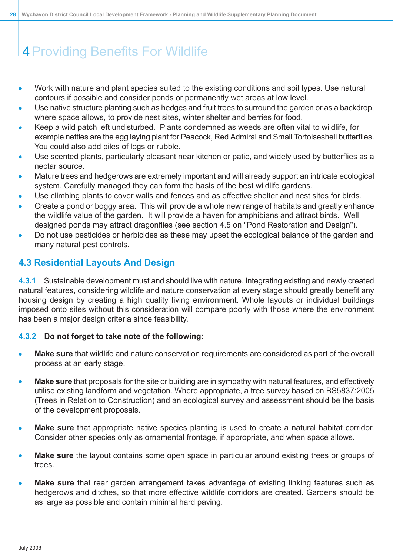- Work with nature and plant species suited to the existing conditions and soil types. Use natural contours if possible and consider ponds or permanently wet areas at low level.
- Use native structure planting such as hedges and fruit trees to surround the garden or as a backdrop, where space allows, to provide nest sites, winter shelter and berries for food.
- Keep a wild patch left undisturbed. Plants condemned as weeds are often vital to wildlife, for example nettles are the egg laying plant for Peacock, Red Admiral and Small Tortoiseshell butterflies. You could also add piles of logs or rubble.
- Use scented plants, particularly pleasant near kitchen or patio, and widely used by butterflies as a nectar source.
- Mature trees and hedgerows are extremely important and will already support an intricate ecological system. Carefully managed they can form the basis of the best wildlife gardens.
- Use climbing plants to cover walls and fences and as effective shelter and nest sites for birds.
- Create a pond or boggy area. This will provide a whole new range of habitats and greatly enhance the wildlife value of the garden. It will provide a haven for amphibians and attract birds. Well designed ponds may attract dragonflies (see section 4.5 on "Pond Restoration and Design").
- <span id="page-27-0"></span>Do not use pesticides or herbicides as these may upset the ecological balance of the garden and many natural pest controls.

## **4.3 Residential Layouts And Design**

**4.3.1** Sustainable development must and should live with nature. Integrating existing and newly created natural features, considering wildlife and nature conservation at every stage should greatly benefit any housing design by creating a high quality living environment. Whole layouts or individual buildings imposed onto sites without this consideration will compare poorly with those where the environment has been a major design criteria since feasibility.

#### **4.3.2 Do not forget to take note of the following:**

- **Make sure** that wildlife and nature conservation requirements are considered as part of the overall process at an early stage.
- **Make sure** that proposals for the site or building are in sympathy with natural features, and effectively Ä utilise existing landform and vegetation. Where appropriate, a tree survey based on BS5837:2005 (Trees in Relation to Construction) and an ecological survey and assessment should be the basis of the development proposals.
- **Make sure** that appropriate native species planting is used to create a natural habitat corridor.  $\bullet$ Consider other species only as ornamental frontage, if appropriate, and when space allows.
- **Make sure** the layout contains some open space in particular around existing trees or groups of trees.
- **Make sure** that rear garden arrangement takes advantage of existing linking features such as hedgerows and ditches, so that more effective wildlife corridors are created. Gardens should be as large as possible and contain minimal hard paving.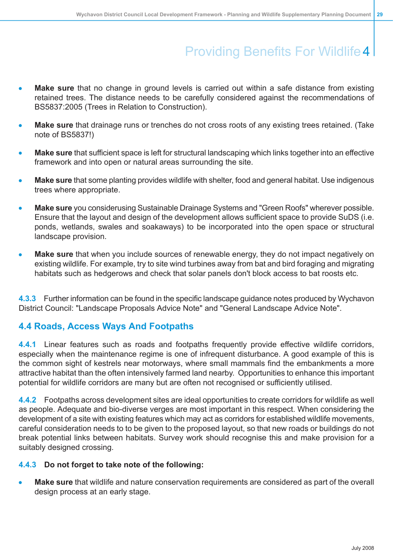- **Make sure** that no change in ground levels is carried out within a safe distance from existing retained trees. The distance needs to be carefully considered against the recommendations of BS5837:2005 (Trees in Relation to Construction).
- **Make sure** that drainage runs or trenches do not cross roots of any existing trees retained. (Take note of BS5837!)
- **Make sure** that sufficient space is left for structural landscaping which links together into an effective framework and into open or natural areas surrounding the site.
- **Make sure** that some planting provides wildlife with shelter, food and general habitat. Use indigenous trees where appropriate.
- **Make sure** you considerusing Sustainable Drainage Systems and "Green Roofs" wherever possible. Ensure that the layout and design of the development allows sufficient space to provide SuDS (i.e. ponds, wetlands, swales and soakaways) to be incorporated into the open space or structural landscape provision.
- **Make sure** that when you include sources of renewable energy, they do not impact negatively on existing wildlife. For example, try to site wind turbines away from bat and bird foraging and migrating habitats such as hedgerows and check that solar panels don't block access to bat roosts etc.

<span id="page-28-0"></span>**4.3.3** Further information can be found in the specific landscape guidance notes produced by Wychavon District Council: "Landscape Proposals Advice Note" and "General Landscape Advice Note".

### **4.4 Roads, Access Ways And Footpaths**

**4.4.1** Linear features such as roads and footpaths frequently provide effective wildlife corridors, especially when the maintenance regime is one of infrequent disturbance. A good example of this is the common sight of kestrels near motorways, where small mammals find the embankments a more attractive habitat than the often intensively farmed land nearby. Opportunities to enhance this important potential for wildlife corridors are many but are often not recognised or sufficiently utilised.

**4.4.2** Footpaths across development sites are ideal opportunities to create corridors for wildlife as well as people. Adequate and bio-diverse verges are most important in this respect. When considering the development of a site with existing features which may act as corridors for established wildlife movements, careful consideration needs to to be given to the proposed layout, so that new roads or buildings do not break potential links between habitats. Survey work should recognise this and make provision for a suitably designed crossing.

#### **4.4.3 Do not forget to take note of the following:**

**Make sure** that wildlife and nature conservation requirements are considered as part of the overall design process at an early stage.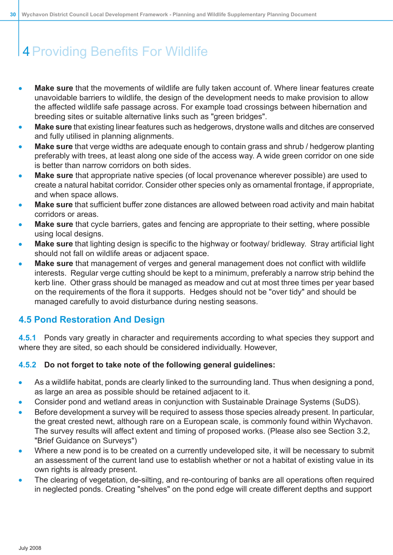- **Make sure** that the movements of wildlife are fully taken account of. Where linear features create unavoidable barriers to wildlife, the design of the development needs to make provision to allow the affected wildlife safe passage across. For example toad crossings between hibernation and breeding sites or suitable alternative links such as "green bridges".
- **Make sure** that existing linear features such as hedgerows, drystone walls and ditches are conserved and fully utilised in planning alignments.
- **Make sure** that verge widths are adequate enough to contain grass and shrub / hedgerow planting preferably with trees, at least along one side of the access way. A wide green corridor on one side is better than narrow corridors on both sides.
- **Make sure** that appropriate native species (of local provenance wherever possible) are used to create a natural habitat corridor. Consider other species only as ornamental frontage, if appropriate, and when space allows.
- **Make sure** that sufficient buffer zone distances are allowed between road activity and main habitat corridors or areas.
- **Make sure** that cycle barriers, gates and fencing are appropriate to their setting, where possible using local designs.
- **Make sure** that lighting design is specific to the highway or footway/ bridleway. Stray artificial light should not fall on wildlife areas or adjacent space.
- <span id="page-29-0"></span>**Make sure** that management of verges and general management does not conflict with wildlife interests. Regular verge cutting should be kept to a minimum, preferably a narrow strip behind the kerb line. Other grass should be managed as meadow and cut at most three times per year based on the requirements of the flora it supports. Hedges should not be "over tidy" and should be managed carefully to avoid disturbance during nesting seasons.

### **4.5 Pond Restoration And Design**

**4.5.1** Ponds vary greatly in character and requirements according to what species they support and where they are sited, so each should be considered individually. However,

### **4.5.2 Do not forget to take note of the following general guidelines:**

- As a wildlife habitat, ponds are clearly linked to the surrounding land. Thus when designing a pond, as large an area as possible should be retained adjacent to it.
- Consider pond and wetland areas in conjunction with Sustainable Drainage Systems (SuDS).
- Before development a survey will be required to assess those species already present. In particular, the great crested newt, although rare on a European scale, is commonly found within Wychavon. The survey results will affect extent and timing of proposed works. (Please also see Section 3.2, "Brief Guidance on Surveys")
- Where a new pond is to be created on a currently undeveloped site, it will be necessary to submit an assessment of the current land use to establish whether or not a habitat of existing value in its own rights is already present.
- The clearing of vegetation, de-silting, and re-contouring of banks are all operations often required in neglected ponds. Creating "shelves" on the pond edge will create different depths and support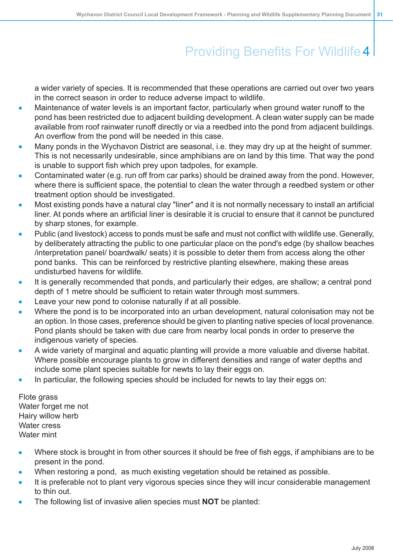a wider variety of species. It is recommended that these operations are carried out over two years in the correct season in order to reduce adverse impact to wildlife.

- Maintenance of water levels is an important factor, particularly when ground water runoff to the pond has been restricted due to adjacent building development. A clean water supply can be made available from roof rainwater runoff directly or via a reedbed into the pond from adjacent buildings. An overflow from the pond will be needed in this case.
- Many ponds in the Wychavon District are seasonal, i.e. they may dry up at the height of summer. This is not necessarily undesirable, since amphibians are on land by this time. That way the pond is unable to support fish which prey upon tadpoles, for example.
- Contaminated water (e.g. run off from car parks) should be drained away from the pond. However, where there is sufficient space, the potential to clean the water through a reedbed system or other treatment option should be investigated.
- Most existing ponds have a natural clay "liner" and it is not normally necessary to install an artificial liner. At ponds where an artificial liner is desirable it is crucial to ensure that it cannot be punctured by sharp stones, for example.
- Public (and livestock) access to ponds must be safe and must not conflict with wildlife use. Generally, by deliberately attracting the public to one particular place on the pond's edge (by shallow beaches /interpretation panel/ boardwalk/ seats) it is possible to deter them from access along the other pond banks. This can be reinforced by restrictive planting elsewhere, making these areas undisturbed havens for wildlife.
- It is generally recommended that ponds, and particularly their edges, are shallow; a central pond depth of 1 metre should be sufficient to retain water through most summers.
- Leave your new pond to colonise naturally if at all possible.
- Where the pond is to be incorporated into an urban development, natural colonisation may not be an option. In those cases, preference should be given to planting native species of local provenance. Pond plants should be taken with due care from nearby local ponds in order to preserve the indigenous variety of species.
- A wide variety of marginal and aquatic planting will provide a more valuable and diverse habitat. Where possible encourage plants to grow in different densities and range of water depths and include some plant species suitable for newts to lay their eggs on.
- In particular, the following species should be included for newts to lay their eggs on:

Flote grass Water forget me not Hairy willow herb Water cress Water mint

- Where stock is brought in from other sources it should be free of fish eggs, if amphibians are to be present in the pond.
- When restoring a pond, as much existing vegetation should be retained as possible.
- It is preferable not to plant very vigorous species since they will incur considerable management to thin out.
- The following list of invasive alien species must **NOT** be planted: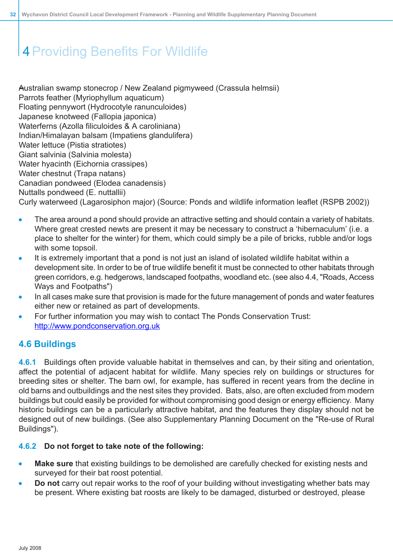Australian swamp stonecrop / New Zealand pigmyweed (Crassula helmsii) Parrots feather (Myriophyllum aquaticum) Floating pennywort (Hydrocotyle ranunculoides) Japanese knotweed (Fallopia japonica) Waterferns (Azolla filiculoides & A caroliniana) Indian/Himalayan balsam (Impatiens glandulifera) Water lettuce (Pistia stratiotes) Giant salvinia (Salvinia molesta) Water hyacinth (Eichornia crassipes) Water chestnut (Trapa natans) Canadian pondweed (Elodea canadensis) Nuttalls pondweed (E. nuttallii) Curly waterweed (Lagarosiphon major) (Source: Ponds and wildlife information leaflet (RSPB 2002))

- The area around a pond should provide an attractive setting and should contain a variety of habitats. Where great crested newts are present it may be necessary to construct a 'hibernaculum' (i.e. a place to shelter for the winter) for them, which could simply be a pile of bricks, rubble and/or logs with some topsoil.
- It is extremely important that a pond is not just an island of isolated wildlife habitat within a development site. In order to be of true wildlife benefit it must be connected to other habitats through green corridors, e.g. hedgerows, landscaped footpaths, woodland etc. (see also 4.4, "Roads, Access Ways and Footpaths")
- In all cases make sure that provision is made for the future management of ponds and water features either new or retained as part of developments.
- <span id="page-31-0"></span>For further information you may wish to contact The Ponds Conservation Trust: [http://www.pondconservation.org.uk](http://www.pondstrust.org.uk)

## **4.6 Buildings**

**4.6.1** Buildings often provide valuable habitat in themselves and can, by their siting and orientation, affect the potential of adjacent habitat for wildlife. Many species rely on buildings or structures for breeding sites or shelter. The barn owl, for example, has suffered in recent years from the decline in old barns and outbuildings and the nest sites they provided. Bats, also, are often excluded from modern buildings but could easily be provided for without compromising good design or energy efficiency. Many historic buildings can be a particularly attractive habitat, and the features they display should not be designed out of new buildings. (See also Supplementary Planning Document on the "Re-use of Rural Buildings").

### **4.6.2 Do not forget to take note of the following:**

- **Make sure** that existing buildings to be demolished are carefully checked for existing nests and surveyed for their bat roost potential.
- **Do not** carry out repair works to the roof of your building without investigating whether bats may be present. Where existing bat roosts are likely to be damaged, disturbed or destroyed, please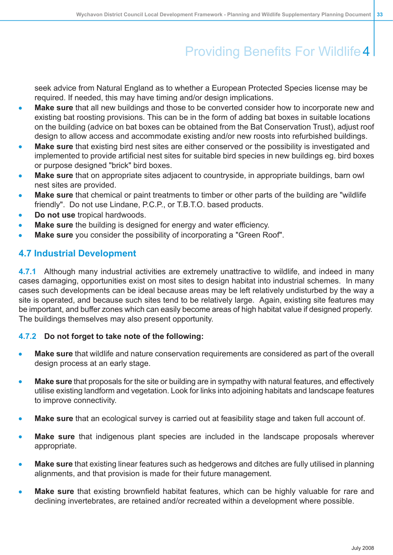seek advice from Natural England as to whether a European Protected Species license may be required. If needed, this may have timing and/or design implications.

- **Make sure** that all new buildings and those to be converted consider how to incorporate new and existing bat roosting provisions. This can be in the form of adding bat boxes in suitable locations on the building (advice on bat boxes can be obtained from the Bat Conservation Trust), adjust roof design to allow access and accommodate existing and/or new roosts into refurbished buildings.
- **Make sure** that existing bird nest sites are either conserved or the possibility is investigated and implemented to provide artificial nest sites for suitable bird species in new buildings eg. bird boxes or purpose designed "brick" bird boxes.
- **Make sure** that on appropriate sites adjacent to countryside, in appropriate buildings, barn owl nest sites are provided.
- **Make sure** that chemical or paint treatments to timber or other parts of the building are "wildlife friendly". Do not use Lindane, P.C.P., or T.B.T.O. based products.
- **Do not use** tropical hardwoods.
- <span id="page-32-0"></span>**Make sure** the building is designed for energy and water efficiency.
- **Make sure** you consider the possibility of incorporating a "Green Roof".

### **4.7 Industrial Development**

**4.7.1** Although many industrial activities are extremely unattractive to wildlife, and indeed in many cases damaging, opportunities exist on most sites to design habitat into industrial schemes. In many cases such developments can be ideal because areas may be left relatively undisturbed by the way a site is operated, and because such sites tend to be relatively large. Again, existing site features may be important, and buffer zones which can easily become areas of high habitat value if designed properly. The buildings themselves may also present opportunity.

#### **4.7.2 Do not forget to take note of the following:**

- **Make sure** that wildlife and nature conservation requirements are considered as part of the overall design process at an early stage.
- **Make sure** that proposals for the site or building are in sympathy with natural features, and effectively utilise existing landform and vegetation. Look for links into adjoining habitats and landscape features to improve connectivity.
- **Make sure** that an ecological survey is carried out at feasibility stage and taken full account of.
- **Make sure** that indigenous plant species are included in the landscape proposals wherever appropriate.
- **Make sure** that existing linear features such as hedgerows and ditches are fully utilised in planning alignments, and that provision is made for their future management.
- **Make sure** that existing brownfield habitat features, which can be highly valuable for rare and declining invertebrates, are retained and/or recreated within a development where possible.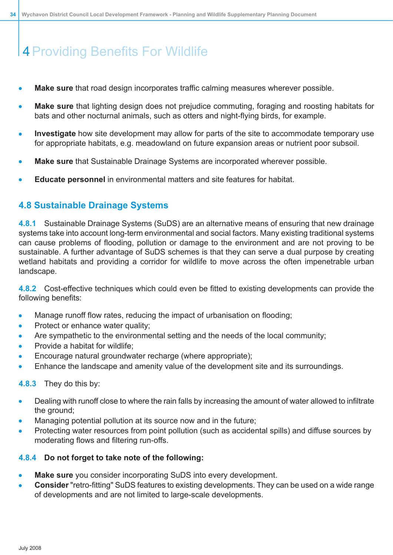- **Make sure** that road design incorporates traffic calming measures wherever possible.
- **Make sure** that lighting design does not prejudice commuting, foraging and roosting habitats for bats and other nocturnal animals, such as otters and night-flying birds, for example.
- **Investigate** how site development may allow for parts of the site to accommodate temporary use for appropriate habitats, e.g. meadowland on future expansion areas or nutrient poor subsoil.
- **Make sure** that Sustainable Drainage Systems are incorporated wherever possible.
- <span id="page-33-0"></span>**Educate personnel** in environmental matters and site features for habitat.

### **4.8 Sustainable Drainage Systems**

**4.8.1** Sustainable Drainage Systems (SuDS) are an alternative means of ensuring that new drainage systems take into account long-term environmental and social factors. Many existing traditional systems can cause problems of flooding, pollution or damage to the environment and are not proving to be sustainable. A further advantage of SuDS schemes is that they can serve a dual purpose by creating wetland habitats and providing a corridor for wildlife to move across the often impenetrable urban landscape.

**4.8.2** Cost-effective techniques which could even be fitted to existing developments can provide the following benefits:

- Manage runoff flow rates, reducing the impact of urbanisation on flooding;  $\bullet$
- Protect or enhance water quality;
- Are sympathetic to the environmental setting and the needs of the local community;
- Provide a habitat for wildlife;
- Encourage natural groundwater recharge (where appropriate);
- Enhance the landscape and amenity value of the development site and its surroundings.
- **4.8.3** They do this by:
- Dealing with runoff close to where the rain falls by increasing the amount of water allowed to infiltrate the ground;
- Managing potential pollution at its source now and in the future;
- Protecting water resources from point pollution (such as accidental spills) and diffuse sources by moderating flows and filtering run-offs.

#### **4.8.4 Do not forget to take note of the following:**

- **Make sure** you consider incorporating SuDS into every development.
- **Consider** "retro-fitting" SuDS features to existing developments. They can be used on a wide range of developments and are not limited to large-scale developments.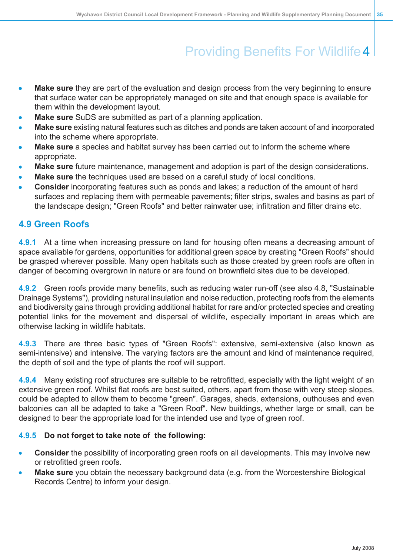- **Make sure** they are part of the evaluation and design process from the very beginning to ensure that surface water can be appropriately managed on site and that enough space is available for them within the development layout.
- **Make sure** SuDS are submitted as part of a planning application.
- **Make sure** existing natural features such as ditches and ponds are taken account of and incorporated into the scheme where appropriate.
- **Make sure** a species and habitat survey has been carried out to inform the scheme where appropriate.
- **Make sure** future maintenance, management and adoption is part of the design considerations.
- **Make sure** the techniques used are based on a careful study of local conditions.
- <span id="page-34-0"></span>**Consider** incorporating features such as ponds and lakes; a reduction of the amount of hard surfaces and replacing them with permeable pavements; filter strips, swales and basins as part of the landscape design; "Green Roofs" and better rainwater use; infiltration and filter drains etc.

### **4.9 Green Roofs**

**4.9.1** At a time when increasing pressure on land for housing often means a decreasing amount of space available for gardens, opportunities for additional green space by creating "Green Roofs" should be grasped wherever possible. Many open habitats such as those created by green roofs are often in danger of becoming overgrown in nature or are found on brownfield sites due to be developed.

**4.9.2** Green roofs provide many benefits, such as reducing water run-off (see also 4.8, "Sustainable Drainage Systems"), providing natural insulation and noise reduction, protecting roofs from the elements and biodiversity gains through providing additional habitat for rare and/or protected species and creating potential links for the movement and dispersal of wildlife, especially important in areas which are otherwise lacking in wildlife habitats.

**4.9.3** There are three basic types of "Green Roofs": extensive, semi-extensive (also known as semi-intensive) and intensive. The varying factors are the amount and kind of maintenance required, the depth of soil and the type of plants the roof will support.

**4.9.4** Many existing roof structures are suitable to be retrofitted, especially with the light weight of an extensive green roof. Whilst flat roofs are best suited, others, apart from those with very steep slopes, could be adapted to allow them to become "green". Garages, sheds, extensions, outhouses and even balconies can all be adapted to take a "Green Roof". New buildings, whether large or small, can be designed to bear the appropriate load for the intended use and type of green roof.

#### **4.9.5 Do not forget to take note of the following:**

- **Consider** the possibility of incorporating green roofs on all developments. This may involve new or retrofitted green roofs.
- **Make sure** you obtain the necessary background data (e.g. from the Worcestershire Biological Records Centre) to inform your design.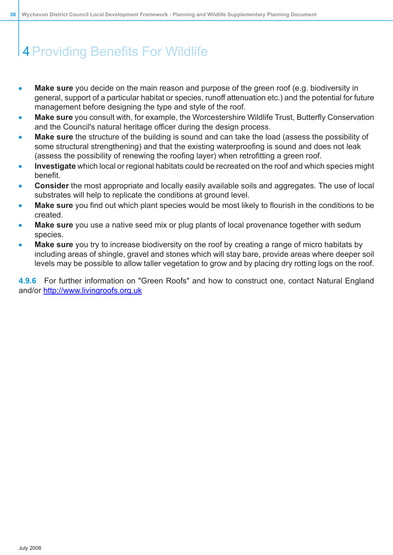- **Make sure** you decide on the main reason and purpose of the green roof (e.g. biodiversity in general, support of a particular habitat or species, runoff attenuation etc.) and the potential for future management before designing the type and style of the roof.
- **Make sure** you consult with, for example, the Worcestershire Wildlife Trust, Butterfly Conservation and the Council's natural heritage officer during the design process.
- **Make sure** the structure of the building is sound and can take the load (assess the possibility of some structural strengthening) and that the existing waterproofing is sound and does not leak (assess the possibility of renewing the roofing layer) when retrofitting a green roof.
- **Investigate** which local or regional habitats could be recreated on the roof and which species might benefit.
- **Consider** the most appropriate and locally easily available soils and aggregates. The use of local substrates will help to replicate the conditions at ground level.
- **Make sure** you find out which plant species would be most likely to flourish in the conditions to be created.
- **Make sure** you use a native seed mix or plug plants of local provenance together with sedum species.
- **Make sure** you try to increase biodiversity on the roof by creating a range of micro habitats by including areas of shingle, gravel and stones which will stay bare, provide areas where deeper soil levels may be possible to allow taller vegetation to grow and by placing dry rotting logs on the roof.

**4.9.6** For further information on "Green Roofs" and how to construct one, contact Natural England and/or <http://www.livingroofs.org.uk>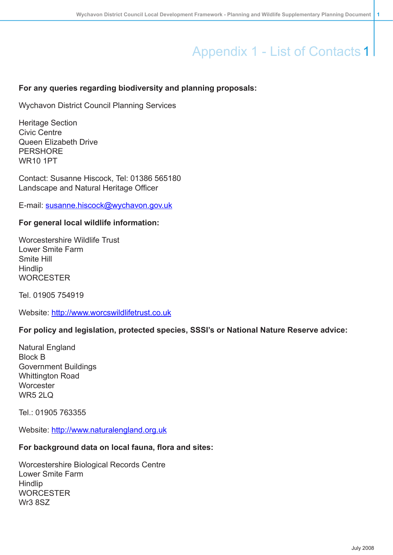### <span id="page-36-0"></span>**For any queries regarding biodiversity and planning proposals:**

Wychavon District Council Planning Services

Heritage Section Civic Centre Queen Elizabeth Drive **PERSHORE** WR10 1PT

Contact: Susanne Hiscock, Tel: 01386 565180 Landscape and Natural Heritage Officer

E-mail: [susanne.hiscock@wychavon.gov.uk](mailto:susanne.hiscock@wychavon.gov.uk)

### **For general local wildlife information:**

Worcestershire Wildlife Trust Lower Smite Farm Smite Hill **Hindlip WORCESTER** 

Tel. 01905 754919

Website: <http://www.worcswildlifetrust.co.uk>

#### **For policy and legislation, protected species, SSSI's or National Nature Reserve advice:**

Natural England Block B Government Buildings Whittington Road **Worcester** WR5 2LQ

Tel.: 01905 763355

Website: <http://www.naturalengland.org.uk>

#### **For background data on local fauna, flora and sites:**

Worcestershire Biological Records Centre Lower Smite Farm **Hindlip WORCESTER** Wr3 8SZ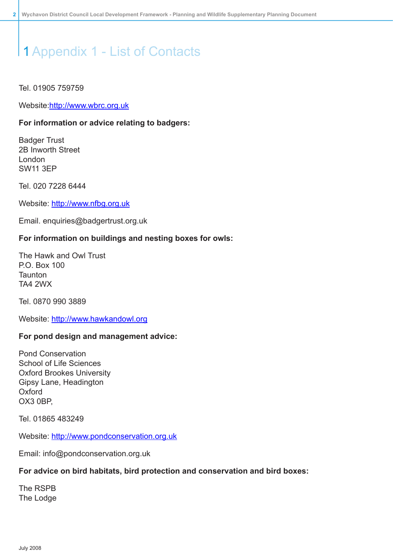#### Tel. 01905 759759

Website:[http://www.wbrc.org.uk](http://www.naturalengland.org.uk)

#### **For information or advice relating to badgers:**

Badger Trust 2B Inworth Street London SW11 3EP

Tel. 020 7228 6444

Website: <http://www.nfbg.org.uk>

Email. enquiries@badgertrust.org.uk

#### **For information on buildings and nesting boxes for owls:**

The Hawk and Owl Trust P.O. Box 100 **Taunton** TA4 2WX

Tel. 0870 990 3889

Website: <http://www.hawkandowl.org>

#### **For pond design and management advice:**

Pond Conservation School of Life Sciences Oxford Brookes University Gipsy Lane, Headington **Oxford** OX3 0BP,

Tel. 01865 483249

Website: [http://www.pondconservation.org.uk](http://www.pondstrust.org.uk)

Email: info@pondconservation.org.uk

#### **For advice on bird habitats, bird protection and conservation and bird boxes:**

The RSPB The Lodge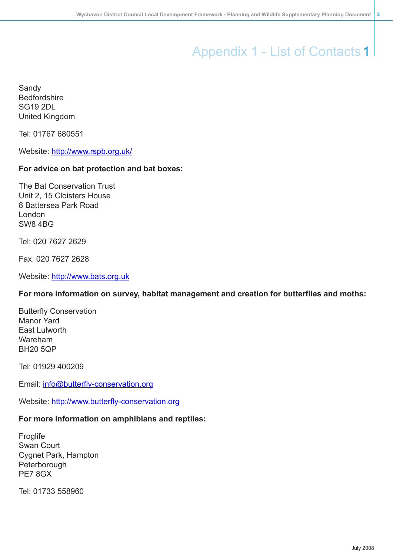Sandy Bedfordshire SG19 2DL United Kingdom

Tel: 01767 680551

Website: <http://www.rspb.org.uk/>

#### **For advice on bat protection and bat boxes:**

The Bat Conservation Trust Unit 2, 15 Cloisters House 8 Battersea Park Road London SW8 4BG

Tel: 020 7627 2629

Fax: 020 7627 2628

Website: <http://www.bats.org.uk>

#### **For more information on survey, habitat management and creation for butterflies and moths:**

Butterfly Conservation Manor Yard East Lulworth Wareham BH20 5QP

Tel: 01929 400209

Email: [info@butterfly-conservation.org](http://www.naturalengland.org.uk)

Website: [http://www.butterfly-conservation.org](http://www.naturalengland.org.uk)

### **For more information on amphibians and reptiles:**

**Froglife** Swan Court Cygnet Park, Hampton **Peterborough** PE7 8GX

Tel: 01733 558960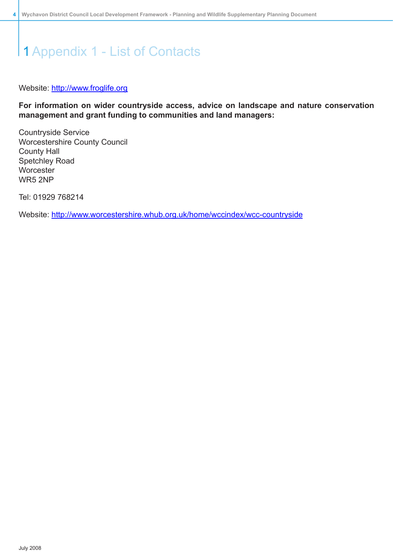#### Website: <http://www.froglife.org>

**For information on wider countryside access, advice on landscape and nature conservation management and grant funding to communities and land managers:**

Countryside Service Worcestershire County Council County Hall Spetchley Road **Worcester** WR5 2NP

Tel: 01929 768214

Website: [http://www.worcestershire.whub.org.uk/home/wccindex/wcc-countryside](http://www.naturalengland.org.uk)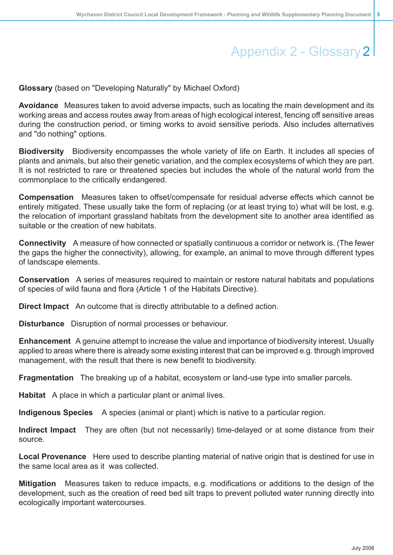# Appendix 2 - Glossary 2

<span id="page-40-0"></span>**Glossary** (based on "Developing Naturally" by Michael Oxford)

**Avoidance** Measures taken to avoid adverse impacts, such as locating the main development and its working areas and access routes away from areas of high ecological interest, fencing off sensitive areas during the construction period, or timing works to avoid sensitive periods. Also includes alternatives and "do nothing" options.

**Biodiversity** Biodiversity encompasses the whole variety of life on Earth. It includes all species of plants and animals, but also their genetic variation, and the complex ecosystems of which they are part. It is not restricted to rare or threatened species but includes the whole of the natural world from the commonplace to the critically endangered.

**Compensation** Measures taken to offset/compensate for residual adverse effects which cannot be entirely mitigated. These usually take the form of replacing (or at least trying to) what will be lost, e.g. the relocation of important grassland habitats from the development site to another area identified as suitable or the creation of new habitats.

**Connectivity** A measure of how connected or spatially continuous a corridor or network is. (The fewer the gaps the higher the connectivity), allowing, for example, an animal to move through different types of landscape elements.

**Conservation** A series of measures required to maintain or restore natural habitats and populations of species of wild fauna and flora (Article 1 of the Habitats Directive).

**Direct Impact** An outcome that is directly attributable to a defined action.

**Disturbance** Disruption of normal processes or behaviour.

**Enhancement** A genuine attempt to increase the value and importance of biodiversity interest. Usually applied to areas where there is already some existing interest that can be improved e.g. through improved management, with the result that there is new benefit to biodiversity.

**Fragmentation** The breaking up of a habitat, ecosystem or land-use type into smaller parcels.

**Habitat** A place in which a particular plant or animal lives.

**Indigenous Species** A species (animal or plant) which is native to a particular region.

**Indirect Impact** They are often (but not necessarily) time-delayed or at some distance from their source.

**Local Provenance** Here used to describe planting material of native origin that is destined for use in the same local area as it was collected.

**Mitigation** Measures taken to reduce impacts, e.g. modifications or additions to the design of the development, such as the creation of reed bed silt traps to prevent polluted water running directly into ecologically important watercourses.